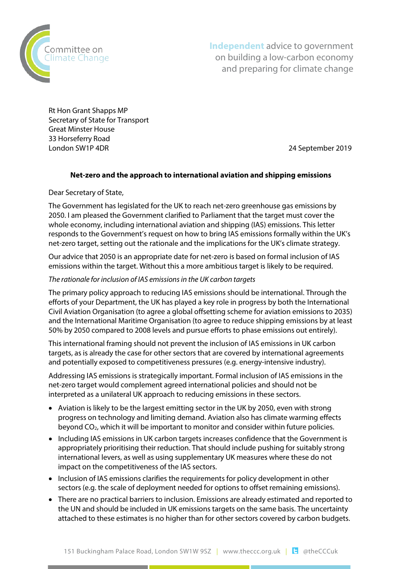

**Independent** advice to government on building a low-carbon economy and preparing for climate change

Rt Hon Grant Shapps MP Secretary of State for Transport Great Minster House 33 Horseferry Road London SW1P 4DR 24 September 2019

# **Net-zero and the approach to international aviation and shipping emissions**

Dear Secretary of State,

The Government has legislated for the UK to reach net-zero greenhouse gas emissions by 2050. I am pleased the Government clarified to Parliament that the target must cover the whole economy, including international aviation and shipping (IAS) emissions. This letter responds to the Government's request on how to bring IAS emissions formally within the UK's net-zero target, setting out the rationale and the implications for the UK's climate strategy.

Our advice that 2050 is an appropriate date for net-zero is based on formal inclusion of IAS emissions within the target. Without this a more ambitious target is likely to be required.

#### *The rationale for inclusion of IAS emissions in the UK carbon targets*

The primary policy approach to reducing IAS emissions should be international. Through the efforts of your Department, the UK has played a key role in progress by both the International Civil Aviation Organisation (to agree a global offsetting scheme for aviation emissions to 2035) and the International Maritime Organisation (to agree to reduce shipping emissions by at least 50% by 2050 compared to 2008 levels and pursue efforts to phase emissions out entirely).

This international framing should not prevent the inclusion of IAS emissions in UK carbon targets, as is already the case for other sectors that are covered by international agreements and potentially exposed to competitiveness pressures (e.g. energy-intensive industry).

Addressing IAS emissions is strategically important. Formal inclusion of IAS emissions in the net-zero target would complement agreed international policies and should not be interpreted as a unilateral UK approach to reducing emissions in these sectors.

- Aviation is likely to be the largest emitting sector in the UK by 2050, even with strong progress on technology and limiting demand. Aviation also has climate warming effects beyond  $CO<sub>2</sub>$ , which it will be important to monitor and consider within future policies.
- Including IAS emissions in UK carbon targets increases confidence that the Government is appropriately prioritising their reduction. That should include pushing for suitably strong international levers, as well as using supplementary UK measures where these do not impact on the competitiveness of the IAS sectors.
- Inclusion of IAS emissions clarifies the requirements for policy development in other sectors (e.g. the scale of deployment needed for options to offset remaining emissions).
- There are no practical barriers to inclusion. Emissions are already estimated and reported to the UN and should be included in UK emissions targets on the same basis. The uncertainty attached to these estimates is no higher than for other sectors covered by carbon budgets.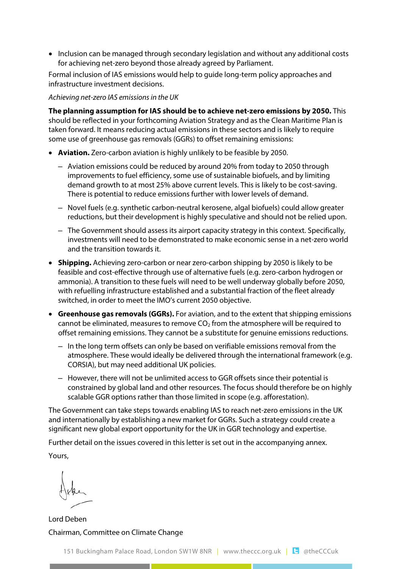• Inclusion can be managed through secondary legislation and without any additional costs for achieving net-zero beyond those already agreed by Parliament.

Formal inclusion of IAS emissions would help to guide long-term policy approaches and infrastructure investment decisions.

*Achieving net-zero IAS emissions in the UK*

**The planning assumption for IAS should be to achieve net-zero emissions by 2050.** This should be reflected in your forthcoming Aviation Strategy and as the Clean Maritime Plan is taken forward. It means reducing actual emissions in these sectors and is likely to require some use of greenhouse gas removals (GGRs) to offset remaining emissions:

- **Aviation.** Zero-carbon aviation is highly unlikely to be feasible by 2050.
	- Aviation emissions could be reduced by around 20% from today to 2050 through improvements to fuel efficiency, some use of sustainable biofuels, and by limiting demand growth to at most 25% above current levels. This is likely to be cost-saving. There is potential to reduce emissions further with lower levels of demand.
	- Novel fuels (e.g. synthetic carbon-neutral kerosene, algal biofuels) could allow greater reductions, but their development is highly speculative and should not be relied upon.
	- The Government should assess its airport capacity strategy in this context. Specifically, investments will need to be demonstrated to make economic sense in a net-zero world and the transition towards it.
- **Shipping.** Achieving zero-carbon or near zero-carbon shipping by 2050 is likely to be feasible and cost-effective through use of alternative fuels (e.g. zero-carbon hydrogen or ammonia). A transition to these fuels will need to be well underway globally before 2050, with refuelling infrastructure established and a substantial fraction of the fleet already switched, in order to meet the IMO's current 2050 objective.
- **Greenhouse gas removals (GGRs).** For aviation, and to the extent that shipping emissions cannot be eliminated, measures to remove  $CO<sub>2</sub>$  from the atmosphere will be required to offset remaining emissions. They cannot be a substitute for genuine emissions reductions.
	- In the long term offsets can only be based on verifiable emissions removal from the atmosphere. These would ideally be delivered through the international framework (e.g. CORSIA), but may need additional UK policies.
	- However, there will not be unlimited access to GGR offsets since their potential is constrained by global land and other resources. The focus should therefore be on highly scalable GGR options rather than those limited in scope (e.g. afforestation).

The Government can take steps towards enabling IAS to reach net-zero emissions in the UK and internationally by establishing a new market for GGRs. Such a strategy could create a significant new global export opportunity for the UK in GGR technology and expertise.

Further detail on the issues covered in this letter is set out in the accompanying annex.

Yours,

Lord Deben Chairman, Committee on Climate Change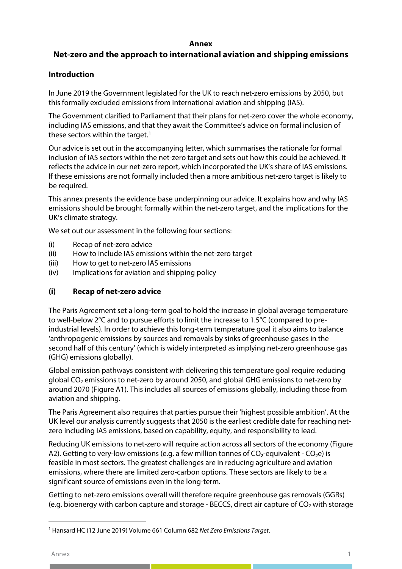#### **Annex**

# **Net-zero and the approach to international aviation and shipping emissions**

# **Introduction**

In June 2019 the Government legislated for the UK to reach net-zero emissions by 2050, but this formally excluded emissions from international aviation and shipping (IAS).

The Government clarified to Parliament that their plans for net-zero cover the whole economy, including IAS emissions, and that they await the Committee's advice on formal inclusion of these sectors within the target.<sup>[1](#page-2-0)</sup>

Our advice is set out in the accompanying letter, which summarises the rationale for formal inclusion of IAS sectors within the net-zero target and sets out how this could be achieved. It reflects the advice in our net-zero report, which incorporated the UK's share of IAS emissions. If these emissions are not formally included then a more ambitious net-zero target is likely to be required.

This annex presents the evidence base underpinning our advice. It explains how and why IAS emissions should be brought formally within the net-zero target, and the implications for the UK's climate strategy.

We set out our assessment in the following four sections:

- (i) Recap of net-zero advice
- (ii) How to include IAS emissions within the net-zero target
- (iii) How to get to net-zero IAS emissions
- (iv) Implications for aviation and shipping policy

# **(i) Recap of net-zero advice**

The Paris Agreement set a long-term goal to hold the increase in global average temperature to well-below 2°C and to pursue efforts to limit the increase to 1.5°C (compared to preindustrial levels). In order to achieve this long-term temperature goal it also aims to balance 'anthropogenic emissions by sources and removals by sinks of greenhouse gases in the second half of this century' (which is widely interpreted as implying net-zero greenhouse gas (GHG) emissions globally).

Global emission pathways consistent with delivering this temperature goal require reducing global  $CO<sub>2</sub>$  emissions to net-zero by around 2050, and global GHG emissions to net-zero by around 2070 (Figure A1). This includes all sources of emissions globally, including those from aviation and shipping.

The Paris Agreement also requires that parties pursue their 'highest possible ambition'. At the UK level our analysis currently suggests that 2050 is the earliest credible date for reaching netzero including IAS emissions, based on capability, equity, and responsibility to lead.

Reducing UK emissions to net-zero will require action across all sectors of the economy (Figure A2). Getting to very-low emissions (e.g. a few million tonnes of  $CO_2$ -equivalent -  $CO_2$ e) is feasible in most sectors. The greatest challenges are in reducing agriculture and aviation emissions, where there are limited zero-carbon options. These sectors are likely to be a significant source of emissions even in the long-term.

Getting to net-zero emissions overall will therefore require greenhouse gas removals (GGRs) (e.g. bioenergy with carbon capture and storage - BECCS, direct air capture of  $CO<sub>2</sub>$  with storage

<span id="page-2-0"></span><sup>1</sup> Hansard HC (12 June 2019) Volume 661 Column 682 *Net Zero Emissions Target*.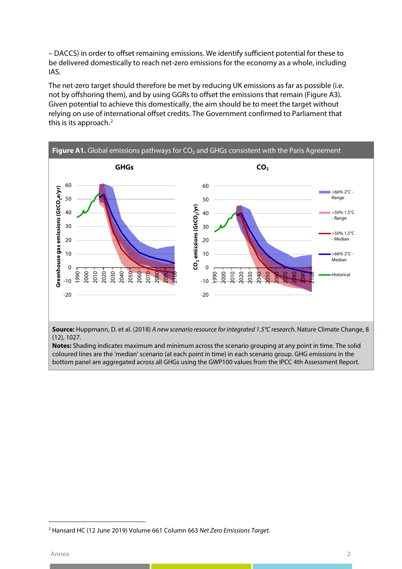– DACCS) in order to offset remaining emissions. We identify sufficient potential for these to be delivered domestically to reach net-zero emissions for the economy as a whole, including IAS.

The net-zero target should therefore be met by reducing UK emissions as far as possible (i.e. not by offshoring them), and by using GGRs to offset the emissions that remain (Figure A3). Given potential to achieve this domestically, the aim should be to meet the target without relying on use of international offset credits. The Government confirmed to Parliament that this is its approach.<sup>[2](#page-3-0)</sup>



coloured lines are the 'median' scenario (at each point in time) in each scenario group. GHG emissions in the bottom panel are aggregated across all GHGs using the GWP100 values from the IPCC 4th Assessment Report.

<span id="page-3-0"></span><sup>2</sup> Hansard HC (12 June 2019) Volume 661 Column 663 *Net Zero Emissions Target*.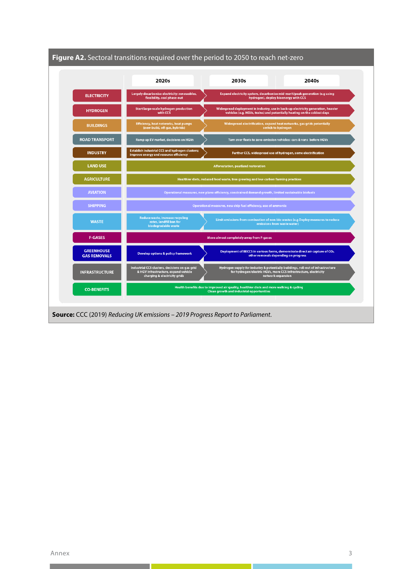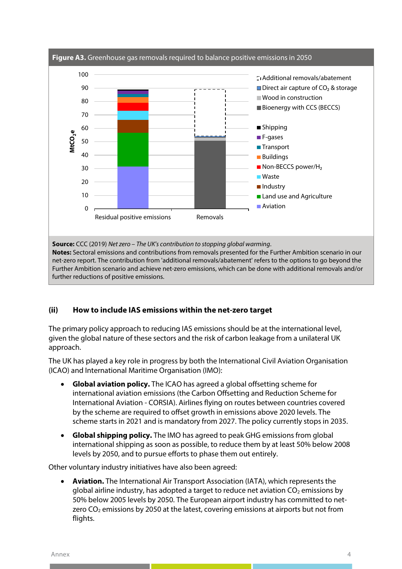

# **(ii) How to include IAS emissions within the net-zero target**

The primary policy approach to reducing IAS emissions should be at the international level, given the global nature of these sectors and the risk of carbon leakage from a unilateral UK approach.

The UK has played a key role in progress by both the International Civil Aviation Organisation (ICAO) and International Maritime Organisation (IMO):

- **Global aviation policy.** The ICAO has agreed a global offsetting scheme for international aviation emissions (the Carbon Offsetting and Reduction Scheme for International Aviation - CORSIA). Airlines flying on routes between countries covered by the scheme are required to offset growth in emissions above 2020 levels. The scheme starts in 2021 and is mandatory from 2027. The policy currently stops in 2035.
- **Global shipping policy.** The IMO has agreed to peak GHG emissions from global international shipping as soon as possible, to reduce them by at least 50% below 2008 levels by 2050, and to pursue efforts to phase them out entirely.

Other voluntary industry initiatives have also been agreed:

• **Aviation.** The International Air Transport Association (IATA), which represents the global airline industry, has adopted a target to reduce net aviation  $CO<sub>2</sub>$  emissions by 50% below 2005 levels by 2050. The European airport industry has committed to netzero  $CO<sub>2</sub>$  emissions by 2050 at the latest, covering emissions at airports but not from flights.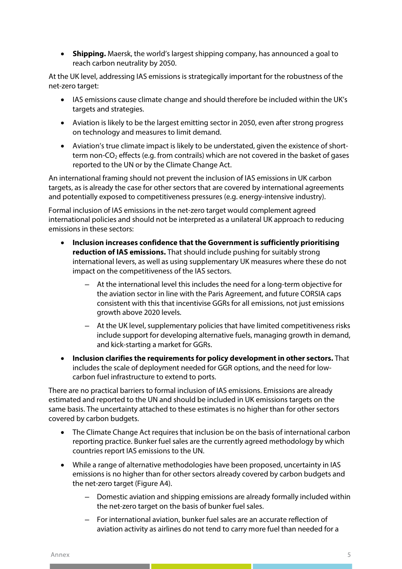• **Shipping.** Maersk, the world's largest shipping company, has announced a goal to reach carbon neutrality by 2050.

At the UK level, addressing IAS emissions is strategically important for the robustness of the net-zero target:

- IAS emissions cause climate change and should therefore be included within the UK's targets and strategies.
- Aviation is likely to be the largest emitting sector in 2050, even after strong progress on technology and measures to limit demand.
- Aviation's true climate impact is likely to be understated, given the existence of shortterm non- $CO<sub>2</sub>$  effects (e.g. from contrails) which are not covered in the basket of gases reported to the UN or by the Climate Change Act.

An international framing should not prevent the inclusion of IAS emissions in UK carbon targets, as is already the case for other sectors that are covered by international agreements and potentially exposed to competitiveness pressures (e.g. energy-intensive industry).

Formal inclusion of IAS emissions in the net-zero target would complement agreed international policies and should not be interpreted as a unilateral UK approach to reducing emissions in these sectors:

- **Inclusion increases confidence that the Government is sufficiently prioritising reduction of IAS emissions.** That should include pushing for suitably strong international levers, as well as using supplementary UK measures where these do not impact on the competitiveness of the IAS sectors.
	- At the international level this includes the need for a long-term objective for the aviation sector in line with the Paris Agreement, and future CORSIA caps consistent with this that incentivise GGRs for all emissions, not just emissions growth above 2020 levels.
	- At the UK level, supplementary policies that have limited competitiveness risks include support for developing alternative fuels, managing growth in demand, and kick-starting a market for GGRs.
- **Inclusion clarifies the requirements for policy development in other sectors.** That includes the scale of deployment needed for GGR options, and the need for lowcarbon fuel infrastructure to extend to ports.

There are no practical barriers to formal inclusion of IAS emissions. Emissions are already estimated and reported to the UN and should be included in UK emissions targets on the same basis. The uncertainty attached to these estimates is no higher than for other sectors covered by carbon budgets.

- The Climate Change Act requires that inclusion be on the basis of international carbon reporting practice. Bunker fuel sales are the currently agreed methodology by which countries report IAS emissions to the UN.
- While a range of alternative methodologies have been proposed, uncertainty in IAS emissions is no higher than for other sectors already covered by carbon budgets and the net-zero target (Figure A4).
	- Domestic aviation and shipping emissions are already formally included within the net-zero target on the basis of bunker fuel sales.
	- For international aviation, bunker fuel sales are an accurate reflection of aviation activity as airlines do not tend to carry more fuel than needed for a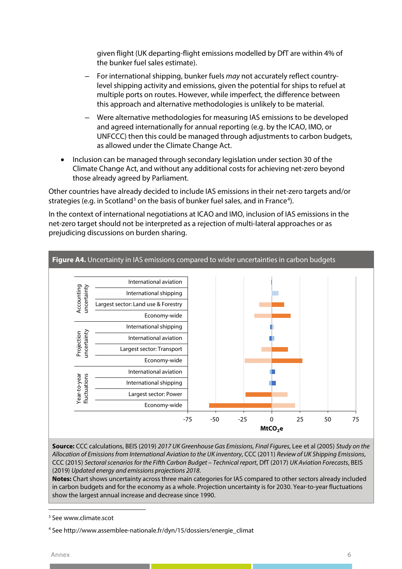given flight (UK departing-flight emissions modelled by DfT are within 4% of the bunker fuel sales estimate).

- For international shipping, bunker fuels *may* not accurately reflect countrylevel shipping activity and emissions, given the potential for ships to refuel at multiple ports on routes. However, while imperfect, the difference between this approach and alternative methodologies is unlikely to be material.
- Were alternative methodologies for measuring IAS emissions to be developed and agreed internationally for annual reporting (e.g. by the ICAO, IMO, or UNFCCC) then this could be managed through adjustments to carbon budgets, as allowed under the Climate Change Act.
- Inclusion can be managed through secondary legislation under section 30 of the Climate Change Act, and without any additional costs for achieving net-zero beyond those already agreed by Parliament.

Other countries have already decided to include IAS emissions in their net-zero targets and/or strategies (e.g. in Scotland<sup>[3](#page-7-0)</sup> on the basis of bunker fuel sales, and in France<sup>[4](#page-7-1)</sup>).

In the context of international negotiations at ICAO and IMO, inclusion of IAS emissions in the net-zero target should not be interpreted as a rejection of multi-lateral approaches or as prejudicing discussions on burden sharing.



**Source:** CCC calculations, BEIS (2019) *2017 UK Greenhouse Gas Emissions, Final Figures*, Lee et al (2005) *Study on the Allocation of Emissions from International Aviation to the UK inventory*, CCC (2011) *Review of UK Shipping Emissions*, CCC (2015) *Sectoral scenarios for the Fifth Carbon Budget – Technical report*, DfT (2017) *UK Aviation Forecasts*, BEIS (2019) *Updated energy and emissions projections 2018*.

**Notes:** Chart shows uncertainty across three main categories for IAS compared to other sectors already included in carbon budgets and for the economy as a whole. Projection uncertainty is for 2030. Year-to-year fluctuations show the largest annual increase and decrease since 1990.

<span id="page-7-0"></span><sup>3</sup> See www.climate.scot

<span id="page-7-1"></span><sup>4</sup> See http://www.assemblee-nationale.fr/dyn/15/dossiers/energie\_climat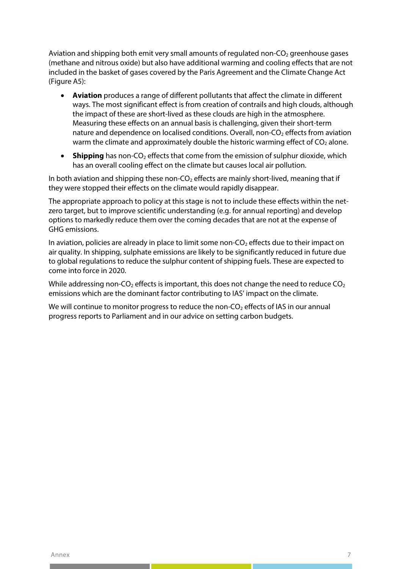Aviation and shipping both emit very small amounts of regulated non- $CO<sub>2</sub>$  greenhouse gases (methane and nitrous oxide) but also have additional warming and cooling effects that are not included in the basket of gases covered by the Paris Agreement and the Climate Change Act (Figure A5):

- **Aviation** produces a range of different pollutants that affect the climate in different ways. The most significant effect is from creation of contrails and high clouds, although the impact of these are short-lived as these clouds are high in the atmosphere. Measuring these effects on an annual basis is challenging, given their short-term nature and dependence on localised conditions. Overall, non-CO<sub>2</sub> effects from aviation warm the climate and approximately double the historic warming effect of  $CO<sub>2</sub>$  alone.
- **Shipping** has non-CO<sub>2</sub> effects that come from the emission of sulphur dioxide, which has an overall cooling effect on the climate but causes local air pollution.

In both aviation and shipping these non- $CO<sub>2</sub>$  effects are mainly short-lived, meaning that if they were stopped their effects on the climate would rapidly disappear.

The appropriate approach to policy at this stage is not to include these effects within the netzero target, but to improve scientific understanding (e.g. for annual reporting) and develop options to markedly reduce them over the coming decades that are not at the expense of GHG emissions.

In aviation, policies are already in place to limit some non- $CO<sub>2</sub>$  effects due to their impact on air quality. In shipping, sulphate emissions are likely to be significantly reduced in future due to global regulations to reduce the sulphur content of shipping fuels. These are expected to come into force in 2020.

While addressing non-CO<sub>2</sub> effects is important, this does not change the need to reduce  $CO<sub>2</sub>$ emissions which are the dominant factor contributing to IAS' impact on the climate.

We will continue to monitor progress to reduce the non- $CO<sub>2</sub>$  effects of IAS in our annual progress reports to Parliament and in our advice on setting carbon budgets.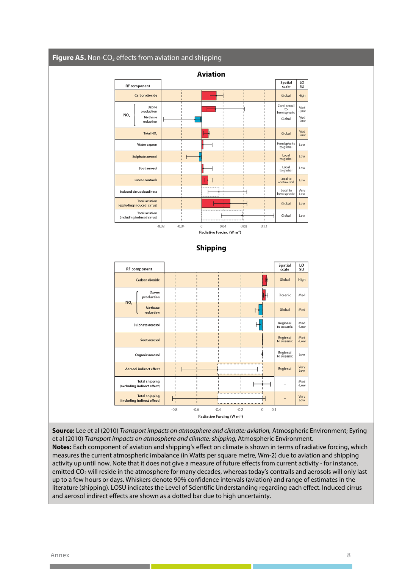

**Source:** Lee et al (2010) *Transport impacts on atmosphere and climate: aviation,* Atmospheric Environment; Eyring et al (2010) *Transport impacts on atmosphere and climate: shipping,* Atmospheric Environment. **Notes:** Each component of aviation and shipping's effect on climate is shown in terms of radiative forcing, which measures the current atmospheric imbalance (in Watts per square metre, Wm-2) due to aviation and shipping activity up until now. Note that it does not give a measure of future effects from current activity - for instance, emitted CO<sub>2</sub> will reside in the atmosphere for many decades, whereas today's contrails and aerosols will only last up to a few hours or days. Whiskers denote 90% confidence intervals (aviation) and range of estimates in the literature (shipping). LOSU indicates the Level of Scientific Understanding regarding each effect. Induced cirrus and aerosol indirect effects are shown as a dotted bar due to high uncertainty.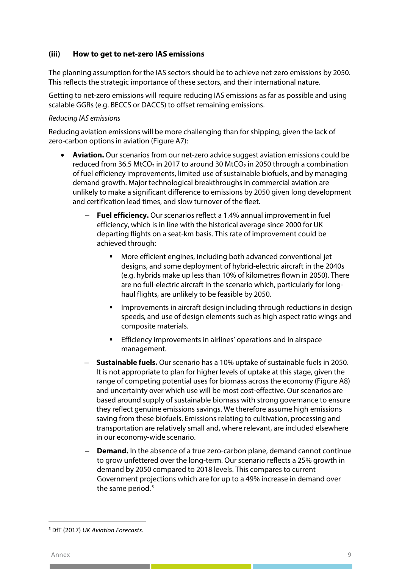#### **(iii) How to get to net-zero IAS emissions**

The planning assumption for the IAS sectors should be to achieve net-zero emissions by 2050. This reflects the strategic importance of these sectors, and their international nature.

Getting to net-zero emissions will require reducing IAS emissions as far as possible and using scalable GGRs (e.g. BECCS or DACCS) to offset remaining emissions.

#### *Reducing IAS emissions*

Reducing aviation emissions will be more challenging than for shipping, given the lack of zero-carbon options in aviation (Figure A7):

- **Aviation.** Our scenarios from our net-zero advice suggest aviation emissions could be reduced from 36.5 MtCO<sub>2</sub> in 2017 to around 30 MtCO<sub>2</sub> in 2050 through a combination of fuel efficiency improvements, limited use of sustainable biofuels, and by managing demand growth. Major technological breakthroughs in commercial aviation are unlikely to make a significant difference to emissions by 2050 given long development and certification lead times, and slow turnover of the fleet.
	- **Fuel efficiency.** Our scenarios reflect a 1.4% annual improvement in fuel efficiency, which is in line with the historical average since 2000 for UK departing flights on a seat-km basis. This rate of improvement could be achieved through:
		- More efficient engines, including both advanced conventional jet designs, and some deployment of hybrid-electric aircraft in the 2040s (e.g. hybrids make up less than 10% of kilometres flown in 2050). There are no full-electric aircraft in the scenario which, particularly for longhaul flights, are unlikely to be feasible by 2050.
		- Improvements in aircraft design including through reductions in design speeds, and use of design elements such as high aspect ratio wings and composite materials.
		- **Efficiency improvements in airlines' operations and in airspace** management.
	- **Sustainable fuels.** Our scenario has a 10% uptake of sustainable fuels in 2050. It is not appropriate to plan for higher levels of uptake at this stage, given the range of competing potential uses for biomass across the economy (Figure A8) and uncertainty over which use will be most cost-effective. Our scenarios are based around supply of sustainable biomass with strong governance to ensure they reflect genuine emissions savings. We therefore assume high emissions saving from these biofuels. Emissions relating to cultivation, processing and transportation are relatively small and, where relevant, are included elsewhere in our economy-wide scenario.
	- **Demand.** In the absence of a true zero-carbon plane, demand cannot continue to grow unfettered over the long-term. Our scenario reflects a 25% growth in demand by 2050 compared to 2018 levels. This compares to current Government projections which are for up to a 49% increase in demand over the same period.<sup>[5](#page-10-0)</sup>

<span id="page-10-0"></span><sup>5</sup> DfT (2017) *UK Aviation Forecasts*.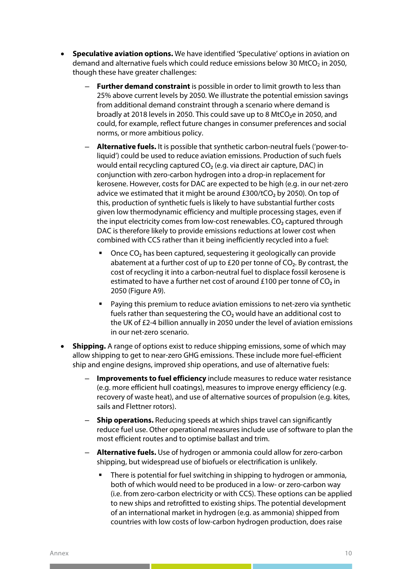- **Speculative aviation options.** We have identified 'Speculative' options in aviation on demand and alternative fuels which could reduce emissions below 30 MtCO<sub>2</sub> in 2050, though these have greater challenges:
	- **Further demand constraint** is possible in order to limit growth to less than 25% above current levels by 2050. We illustrate the potential emission savings from additional demand constraint through a scenario where demand is broadly at 2018 levels in 2050. This could save up to 8 MtCO₂e in 2050, and could, for example, reflect future changes in consumer preferences and social norms, or more ambitious policy.
	- **Alternative fuels.** It is possible that synthetic carbon-neutral fuels ('power-toliquid') could be used to reduce aviation emissions. Production of such fuels would entail recycling captured CO<sub>2</sub> (e.g. via direct air capture, DAC) in conjunction with zero-carbon hydrogen into a drop-in replacement for kerosene. However, costs for DAC are expected to be high (e.g. in our net-zero advice we estimated that it might be around  $£300/tCO<sub>2</sub>$  by 2050). On top of this, production of synthetic fuels is likely to have substantial further costs given low thermodynamic efficiency and multiple processing stages, even if the input electricity comes from low-cost renewables. CO₂ captured through DAC is therefore likely to provide emissions reductions at lower cost when combined with CCS rather than it being inefficiently recycled into a fuel:
		- Once CO<sub>2</sub> has been captured, sequestering it geologically can provide abatement at a further cost of up to £20 per tonne of CO<sub>2</sub>. By contrast, the cost of recycling it into a carbon-neutral fuel to displace fossil kerosene is estimated to have a further net cost of around £100 per tonne of  $CO<sub>2</sub>$  in 2050 (Figure A9).
		- **Paying this premium to reduce aviation emissions to net-zero via synthetic** fuels rather than sequestering the  $CO<sub>2</sub>$  would have an additional cost to the UK of £2-4 billion annually in 2050 under the level of aviation emissions in our net-zero scenario.
- **Shipping.** A range of options exist to reduce shipping emissions, some of which may allow shipping to get to near-zero GHG emissions. These include more fuel-efficient ship and engine designs, improved ship operations, and use of alternative fuels:
	- **Improvements to fuel efficiency** include measures to reduce water resistance (e.g. more efficient hull coatings), measures to improve energy efficiency (e.g. recovery of waste heat), and use of alternative sources of propulsion (e.g. kites, sails and Flettner rotors).
	- **Ship operations.** Reducing speeds at which ships travel can significantly reduce fuel use. Other operational measures include use of software to plan the most efficient routes and to optimise ballast and trim.
	- **Alternative fuels.** Use of hydrogen or ammonia could allow for zero-carbon shipping, but widespread use of biofuels or electrification is unlikely.
		- **There is potential for fuel switching in shipping to hydrogen or ammonia,** both of which would need to be produced in a low- or zero-carbon way (i.e. from zero-carbon electricity or with CCS). These options can be applied to new ships and retrofitted to existing ships. The potential development of an international market in hydrogen (e.g. as ammonia) shipped from countries with low costs of low-carbon hydrogen production, does raise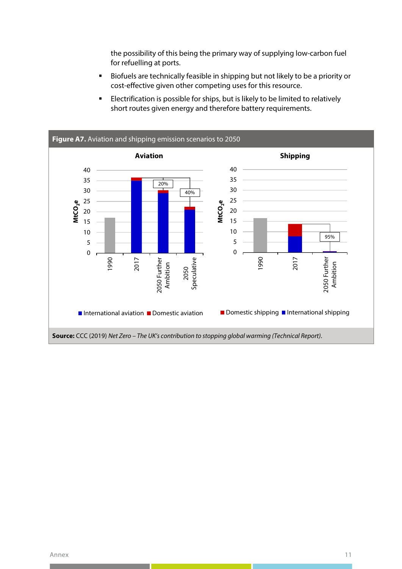the possibility of this being the primary way of supplying low-carbon fuel for refuelling at ports.

- Biofuels are technically feasible in shipping but not likely to be a priority or cost-effective given other competing uses for this resource.
- **Electrification is possible for ships, but is likely to be limited to relatively** short routes given energy and therefore battery requirements.

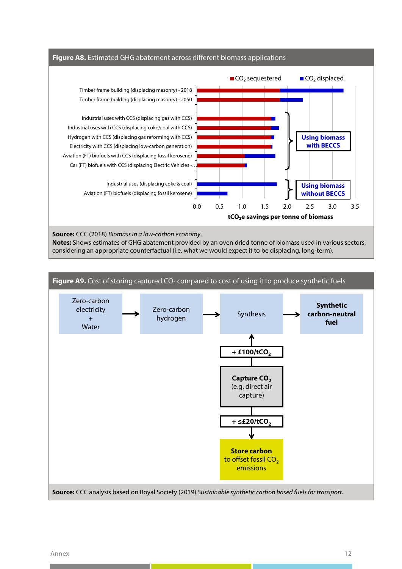

**Notes:** Shows estimates of GHG abatement provided by an oven dried tonne of biomass used in various sectors, considering an appropriate counterfactual (i.e. what we would expect it to be displacing, long-term).

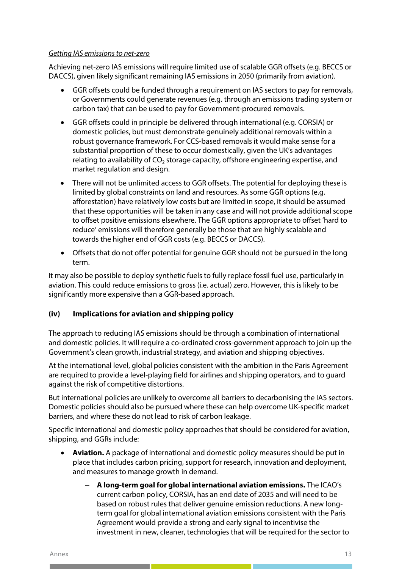#### *Getting IAS emissions to net-zero*

Achieving net-zero IAS emissions will require limited use of scalable GGR offsets (e.g. BECCS or DACCS), given likely significant remaining IAS emissions in 2050 (primarily from aviation).

- GGR offsets could be funded through a requirement on IAS sectors to pay for removals, or Governments could generate revenues (e.g. through an emissions trading system or carbon tax) that can be used to pay for Government-procured removals.
- GGR offsets could in principle be delivered through international (e.g. CORSIA) or domestic policies, but must demonstrate genuinely additional removals within a robust governance framework. For CCS-based removals it would make sense for a substantial proportion of these to occur domestically, given the UK's advantages relating to availability of CO₂ storage capacity, offshore engineering expertise, and market regulation and design.
- There will not be unlimited access to GGR offsets. The potential for deploying these is limited by global constraints on land and resources. As some GGR options (e.g. afforestation) have relatively low costs but are limited in scope, it should be assumed that these opportunities will be taken in any case and will not provide additional scope to offset positive emissions elsewhere. The GGR options appropriate to offset 'hard to reduce' emissions will therefore generally be those that are highly scalable and towards the higher end of GGR costs (e.g. BECCS or DACCS).
- Offsets that do not offer potential for genuine GGR should not be pursued in the long term.

It may also be possible to deploy synthetic fuels to fully replace fossil fuel use, particularly in aviation. This could reduce emissions to gross (i.e. actual) zero. However, this is likely to be significantly more expensive than a GGR-based approach.

# **(iv) Implications for aviation and shipping policy**

The approach to reducing IAS emissions should be through a combination of international and domestic policies. It will require a co-ordinated cross-government approach to join up the Government's clean growth, industrial strategy, and aviation and shipping objectives.

At the international level, global policies consistent with the ambition in the Paris Agreement are required to provide a level-playing field for airlines and shipping operators, and to guard against the risk of competitive distortions.

But international policies are unlikely to overcome all barriers to decarbonising the IAS sectors. Domestic policies should also be pursued where these can help overcome UK-specific market barriers, and where these do not lead to risk of carbon leakage.

Specific international and domestic policy approaches that should be considered for aviation, shipping, and GGRs include:

- **Aviation.** A package of international and domestic policy measures should be put in place that includes carbon pricing, support for research, innovation and deployment, and measures to manage growth in demand.
	- **A long-term goal for global international aviation emissions.** The ICAO's current carbon policy, CORSIA, has an end date of 2035 and will need to be based on robust rules that deliver genuine emission reductions. A new longterm goal for global international aviation emissions consistent with the Paris Agreement would provide a strong and early signal to incentivise the investment in new, cleaner, technologies that will be required for the sector to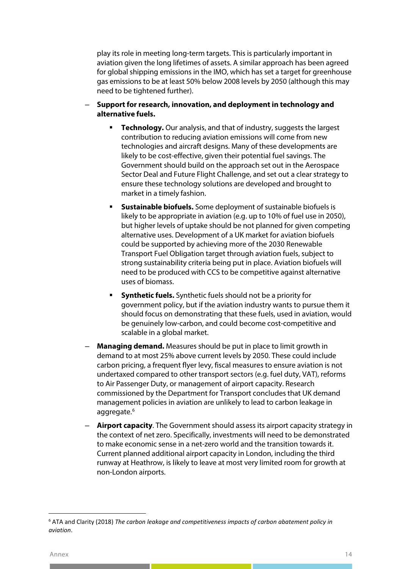play its role in meeting long-term targets. This is particularly important in aviation given the long lifetimes of assets. A similar approach has been agreed for global shipping emissions in the IMO, which has set a target for greenhouse gas emissions to be at least 50% below 2008 levels by 2050 (although this may need to be tightened further).

- **Support for research, innovation, and deployment in technology and alternative fuels.**
	- **Technology.** Our analysis, and that of industry, suggests the largest contribution to reducing aviation emissions will come from new technologies and aircraft designs. Many of these developments are likely to be cost-effective, given their potential fuel savings. The Government should build on the approach set out in the Aerospace Sector Deal and Future Flight Challenge, and set out a clear strategy to ensure these technology solutions are developed and brought to market in a timely fashion.
	- **Sustainable biofuels.** Some deployment of sustainable biofuels is likely to be appropriate in aviation (e.g. up to 10% of fuel use in 2050), but higher levels of uptake should be not planned for given competing alternative uses. Development of a UK market for aviation biofuels could be supported by achieving more of the 2030 Renewable Transport Fuel Obligation target through aviation fuels, subject to strong sustainability criteria being put in place. Aviation biofuels will need to be produced with CCS to be competitive against alternative uses of biomass.
	- **Synthetic fuels.** Synthetic fuels should not be a priority for government policy, but if the aviation industry wants to pursue them it should focus on demonstrating that these fuels, used in aviation, would be genuinely low-carbon, and could become cost-competitive and scalable in a global market.
- **Managing demand.** Measures should be put in place to limit growth in demand to at most 25% above current levels by 2050. These could include carbon pricing, a frequent flyer levy, fiscal measures to ensure aviation is not undertaxed compared to other transport sectors (e.g. fuel duty, VAT), reforms to Air Passenger Duty, or management of airport capacity. Research commissioned by the Department for Transport concludes that UK demand management policies in aviation are unlikely to lead to carbon leakage in aggregate.<sup>[6](#page-15-0)</sup>
- **Airport capacity**. The Government should assess its airport capacity strategy in the context of net zero. Specifically, investments will need to be demonstrated to make economic sense in a net-zero world and the transition towards it. Current planned additional airport capacity in London, including the third runway at Heathrow, is likely to leave at most very limited room for growth at non-London airports.

<span id="page-15-0"></span><sup>6</sup> ATA and Clarity (2018) *The carbon leakage and competitiveness impacts of carbon abatement policy in aviation*.